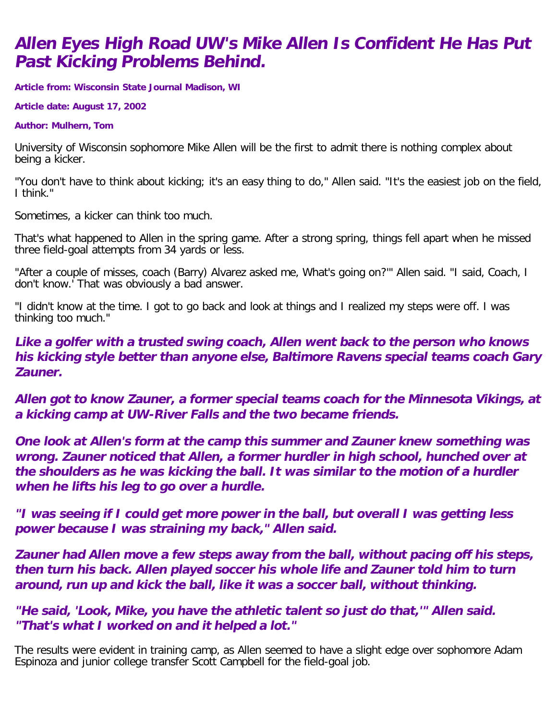## **Allen Eyes High Road UW's Mike Allen Is Confident He Has Put Past Kicking Problems Behind.**

**Article from: Wisconsin State Journal Madison, WI**

**Article date: August 17, 2002**

## **Author: Mulhern, Tom**

University of Wisconsin sophomore Mike Allen will be the first to admit there is nothing complex about being a kicker.

"You don't have to think about kicking; it's an easy thing to do," Allen said. "It's the easiest job on the field, I think."

Sometimes, a kicker can think too much.

That's what happened to Allen in the spring game. After a strong spring, things fell apart when he missed three field-goal attempts from 34 yards or less.

"After a couple of misses, coach (Barry) Alvarez asked me, What's going on?'" Allen said. "I said, Coach, I don't know.' That was obviously a bad answer.

"I didn't know at the time. I got to go back and look at things and I realized my steps were off. I was thinking too much."

**Like a golfer with a trusted swing coach, Allen went back to the person who knows his kicking style better than anyone else, Baltimore Ravens special teams coach Gary Zauner.**

**Allen got to know Zauner, a former special teams coach for the Minnesota Vikings, at a kicking camp at UW-River Falls and the two became friends.**

**One look at Allen's form at the camp this summer and Zauner knew something was wrong. Zauner noticed that Allen, a former hurdler in high school, hunched over at the shoulders as he was kicking the ball. It was similar to the motion of a hurdler when he lifts his leg to go over a hurdle.**

**"I was seeing if I could get more power in the ball, but overall I was getting less power because I was straining my back," Allen said.**

**Zauner had Allen move a few steps away from the ball, without pacing off his steps, then turn his back. Allen played soccer his whole life and Zauner told him to turn around, run up and kick the ball, like it was a soccer ball, without thinking.**

**"He said, 'Look, Mike, you have the athletic talent so just do that,'" Allen said. "That's what I worked on and it helped a lot."**

The results were evident in training camp, as Allen seemed to have a slight edge over sophomore Adam Espinoza and junior college transfer Scott Campbell for the field-goal job.